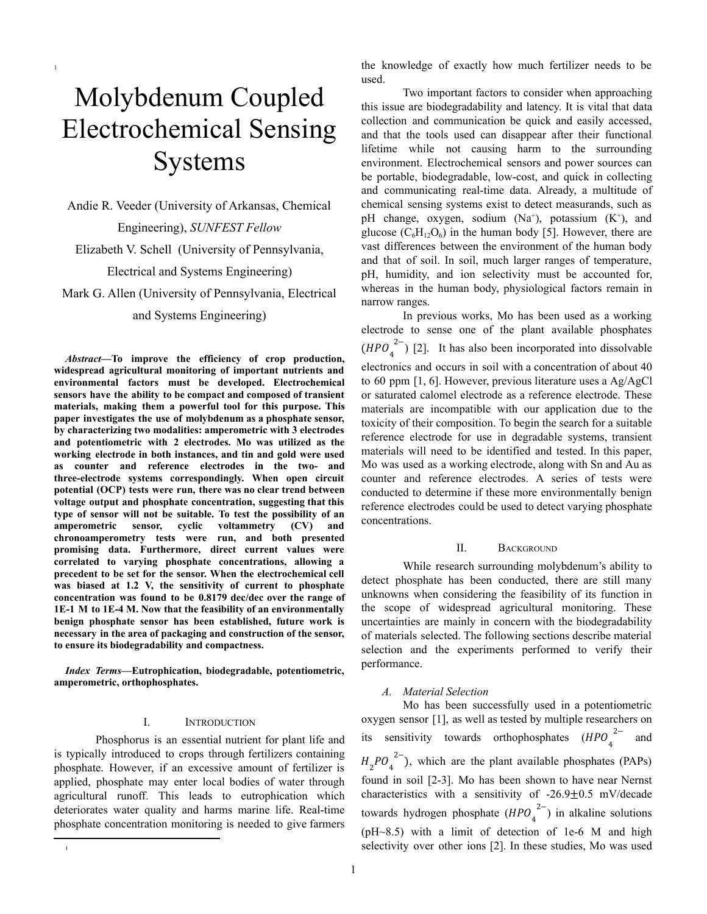# Molybdenum Coupled Electrochemical Sensing **Systems**

1

Andie R. Veeder (University of Arkansas, Chemical Engineering), *SUNFEST Fellow* Elizabeth V. Schell (University of Pennsylvania, Electrical and Systems Engineering)

Mark G. Allen (University of Pennsylvania, Electrical and Systems Engineering)

*Abstract***—To improve the efficiency of crop production, widespread agricultural monitoring of important nutrients and environmental factors must be developed. Electrochemical sensors have the ability to be compact and composed of transient materials, making them a powerful tool for this purpose. This paper investigates the use of molybdenum as a phosphate sensor, by characterizing two modalities: amperometric with 3 electrodes and potentiometric with 2 electrodes. Mo was utilized as the working electrode in both instances, and tin and gold were used as counter and reference electrodes in the two- and three-electrode systems correspondingly. When open circuit potential (OCP) tests were run, there was no clear trend between voltage output and phosphate concentration, suggesting that this type of sensor will not be suitable. To test the possibility of an amperometric sensor, cyclic voltammetry (CV) and chronoamperometry tests were run, and both presented promising data. Furthermore, direct current values were correlated to varying phosphate concentrations, allowing a precedent to be set for the sensor. When the electrochemical cell was biased at 1.2 V, the sensitivity of current to phosphate concentration was found to be 0.8179 dec/dec over the range of 1E-1 M to 1E-4 M. Now that the feasibility of an environmentally benign phosphate sensor has been established, future work is necessary in the area of packaging and construction of the sensor, to ensure its biodegradability and compactness.**

*Index Terms***—Eutrophication, biodegradable, potentiometric, amperometric, orthophosphates.**

# I. INTRODUCTION

Phosphorus is an essential nutrient for plant life and is typically introduced to crops through fertilizers containing phosphate. However, if an excessive amount of fertilizer is applied, phosphate may enter local bodies of water through agricultural runoff. This leads to eutrophication which deteriorates water quality and harms marine life. Real-time phosphate concentration monitoring is needed to give farmers

1

the knowledge of exactly how much fertilizer needs to be used.

Two important factors to consider when approaching this issue are biodegradability and latency. It is vital that data collection and communication be quick and easily accessed, and that the tools used can disappear after their functional lifetime while not causing harm to the surrounding environment. Electrochemical sensors and power sources can be portable, biodegradable, low-cost, and quick in collecting and communicating real-time data. Already, a multitude of chemical sensing systems exist to detect measurands, such as pH change, oxygen, sodium (Na<sup>+</sup>), potassium (K<sup>+</sup>), and glucose  $(C_6H_{12}O_6)$  in the human body [5]. However, there are vast differences between the environment of the human body and that of soil. In soil, much larger ranges of temperature, pH, humidity, and ion selectivity must be accounted for, whereas in the human body, physiological factors remain in narrow ranges.

In previous works, Mo has been used as a working electrode to sense one of the plant available phosphates  $(HPO<sub>4</sub><sup>2–</sup>)$  [2]. It has also been incorporated into dissolvable 2− electronics and occurs in soil with a concentration of about 40 to 60 ppm [1, 6]. However, previous literature uses a Ag/AgCl or saturated calomel electrode as a reference electrode. These materials are incompatible with our application due to the toxicity of their composition. To begin the search for a suitable reference electrode for use in degradable systems, transient materials will need to be identified and tested. In this paper, Mo was used as a working electrode, along with Sn and Au as counter and reference electrodes. A series of tests were conducted to determine if these more environmentally benign reference electrodes could be used to detect varying phosphate concentrations.

# II. BACKGROUND

While research surrounding molybdenum's ability to detect phosphate has been conducted, there are still many unknowns when considering the feasibility of its function in the scope of widespread agricultural monitoring. These uncertainties are mainly in concern with the biodegradability of materials selected. The following sections describe material selection and the experiments performed to verify their performance.

# *A. Material Selection*

Mo has been successfully used in a potentiometric oxygen sensor [1], as well as tested by multiple researchers on its sensitivity towards orthophosphates  $(HPO_4^{2-}$  and 2−  $H_2PO_4^{2-}$ ), which are the plant available phosphates (PAPs) found in soil [2-3]. Mo has been shown to have near Nernst characteristics with a sensitivity of -26.9 $\pm$ 0.5 mV/decade towards hydrogen phosphate  $(HPO_4^{2-})$  in alkaline solutions 2− (pH~8.5) with a limit of detection of 1e-6 M and high selectivity over other ions [2]. In these studies, Mo was used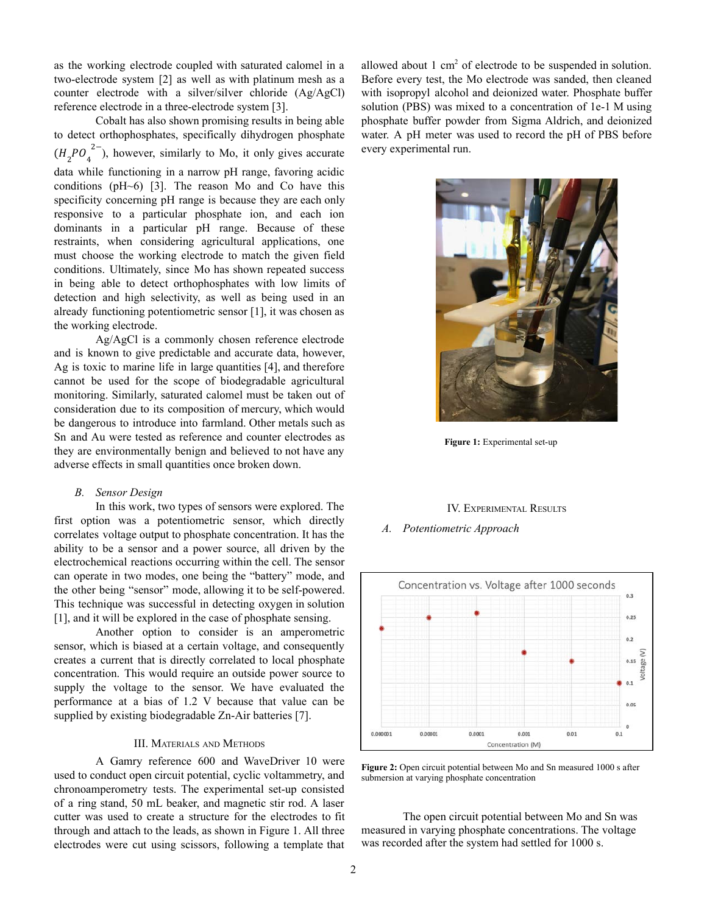as the working electrode coupled with saturated calomel in a two-electrode system [2] as well as with platinum mesh as a counter electrode with a silver/silver chloride (Ag/AgCl) reference electrode in a three-electrode system [3].

Cobalt has also shown promising results in being able to detect orthophosphates, specifically dihydrogen phosphate  $(H_2PO_4^{2-})$ , however, similarly to Mo, it only gives accurate 2− data while functioning in a narrow pH range, favoring acidic conditions (pH~6) [3]. The reason Mo and Co have this specificity concerning pH range is because they are each only responsive to a particular phosphate ion, and each ion dominants in a particular pH range. Because of these restraints, when considering agricultural applications, one must choose the working electrode to match the given field conditions. Ultimately, since Mo has shown repeated success in being able to detect orthophosphates with low limits of detection and high selectivity, as well as being used in an already functioning potentiometric sensor [1], it was chosen as the working electrode.

Ag/AgCl is a commonly chosen reference electrode and is known to give predictable and accurate data, however, Ag is toxic to marine life in large quantities [4], and therefore cannot be used for the scope of biodegradable agricultural monitoring. Similarly, saturated calomel must be taken out of consideration due to its composition of mercury, which would be dangerous to introduce into farmland. Other metals such as Sn and Au were tested as reference and counter electrodes as they are environmentally benign and believed to not have any adverse effects in small quantities once broken down.

# *B. Sensor Design*

In this work, two types of sensors were explored. The first option was a potentiometric sensor, which directly correlates voltage output to phosphate concentration. It has the ability to be a sensor and a power source, all driven by the electrochemical reactions occurring within the cell. The sensor can operate in two modes, one being the "battery" mode, and the other being "sensor" mode, allowing it to be self-powered. This technique was successful in detecting oxygen in solution [1], and it will be explored in the case of phosphate sensing.

Another option to consider is an amperometric sensor, which is biased at a certain voltage, and consequently creates a current that is directly correlated to local phosphate concentration. This would require an outside power source to supply the voltage to the sensor. We have evaluated the performance at a bias of 1.2 V because that value can be supplied by existing biodegradable Zn-Air batteries [7].

# III. MATERIALS AND METHODS

A Gamry reference 600 and WaveDriver 10 were used to conduct open circuit potential, cyclic voltammetry, and chronoamperometry tests. The experimental set-up consisted of a ring stand, 50 mL beaker, and magnetic stir rod. A laser cutter was used to create a structure for the electrodes to fit through and attach to the leads, as shown in Figure 1. All three electrodes were cut using scissors, following a template that

allowed about  $1 \text{ cm}^2$  of electrode to be suspended in solution. Before every test, the Mo electrode was sanded, then cleaned with isopropyl alcohol and deionized water. Phosphate buffer solution (PBS) was mixed to a concentration of 1e-1 M using phosphate buffer powder from Sigma Aldrich, and deionized water. A pH meter was used to record the pH of PBS before every experimental run.



**Figure 1:** Experimental set-up

### IV. EXPERIMENTAL RESULTS

*A. Potentiometric Approach*



**Figure 2:** Open circuit potential between Mo and Sn measured 1000 s after submersion at varying phosphate concentration

The open circuit potential between Mo and Sn was measured in varying phosphate concentrations. The voltage was recorded after the system had settled for 1000 s.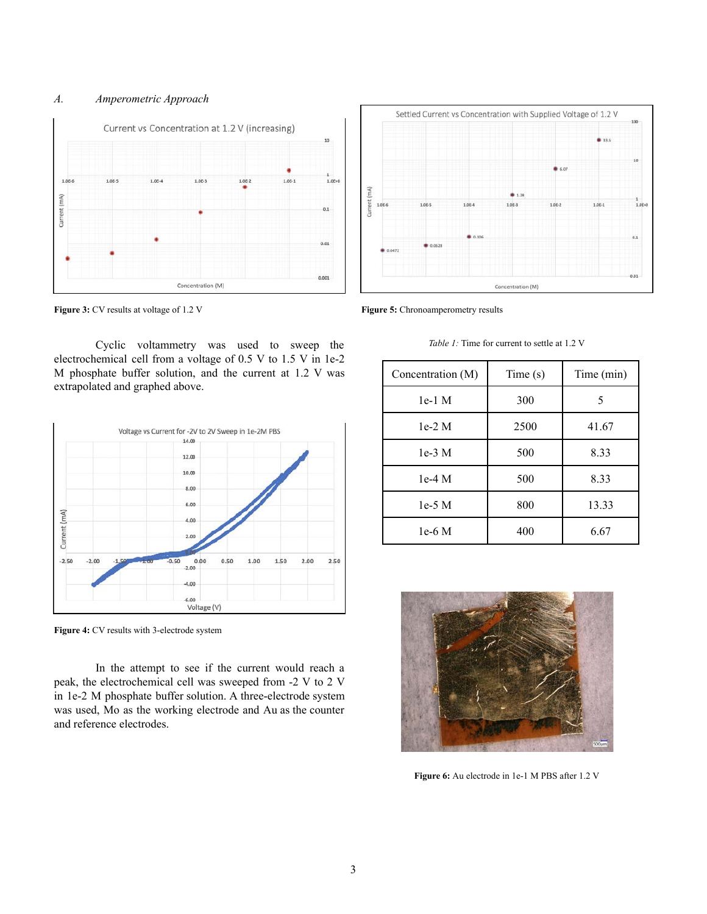# *A. Amperometric Approach*





**Figure 3:** CV results at voltage of 1.2 V

Cyclic voltammetry was used to sweep the electrochemical cell from a voltage of 0.5 V to 1.5 V in 1e-2 M phosphate buffer solution, and the current at 1.2 V was extrapolated and graphed above.



**Figure 4:** CV results with 3-electrode system

In the attempt to see if the current would reach a peak, the electrochemical cell was sweeped from -2 V to 2 V in 1e-2 M phosphate buffer solution. A three-electrode system was used, Mo as the working electrode and Au as the counter and reference electrodes.

**Figure 5:** Chronoamperometry results

*Table 1:* Time for current to settle at 1.2 V

| Concentration (M) | Time(s) | Time (min) |
|-------------------|---------|------------|
| $1e-1$ M          | 300     | 5          |
| $1e-2M$           | 2500    | 41.67      |
| $1e-3$ M          | 500     | 8.33       |
| $1e-4M$           | 500     | 8.33       |
| $1e-5$ M          | 800     | 13.33      |
| $1e-6$ M          | 400     | 6.67       |



**Figure 6:** Au electrode in 1e-1 M PBS after 1.2 V